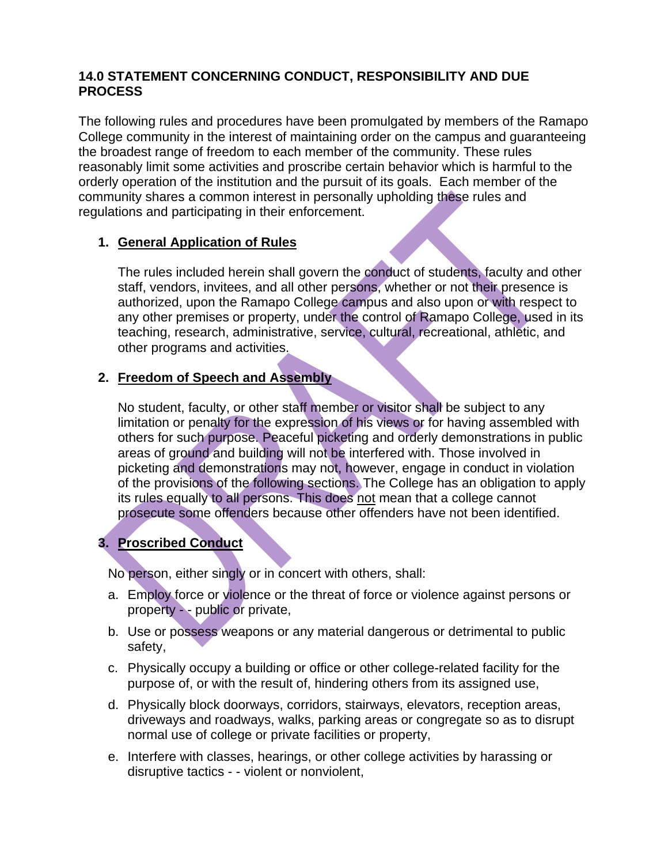### **14.0 STATEMENT CONCERNING CONDUCT, RESPONSIBILITY AND DUE PROCESS**

The following rules and procedures have been promulgated by members of the Ramapo College community in the interest of maintaining order on the campus and guaranteeing the broadest range of freedom to each member of the community. These rules reasonably limit some activities and proscribe certain behavior which is harmful to the orderly operation of the institution and the pursuit of its goals. Each member of the community shares a common interest in personally upholding these rules and regulations and participating in their enforcement.

# **1. General Application of Rules**

The rules included herein shall govern the conduct of students, faculty and other staff, vendors, invitees, and all other persons, whether or not their presence is authorized, upon the Ramapo College campus and also upon or with respect to any other premises or property, under the control of Ramapo College, used in its teaching, research, administrative, service, cultural, recreational, athletic, and other programs and activities.

### **2. Freedom of Speech and Assembly**

No student, faculty, or other staff member or visitor shall be subject to any limitation or penalty for the expression of his views or for having assembled with others for such purpose. Peaceful picketing and orderly demonstrations in public areas of ground and building will not be interfered with. Those involved in picketing and demonstrations may not, however, engage in conduct in violation of the provisions of the following sections. The College has an obligation to apply its rules equally to all persons. This does not mean that a college cannot prosecute some offenders because other offenders have not been identified.

# **3. Proscribed Conduct**

No person, either singly or in concert with others, shall:

- a. Employ force or violence or the threat of force or violence against persons or property - - public or private,
- b. Use or possess weapons or any material dangerous or detrimental to public safety,
- c. Physically occupy a building or office or other college-related facility for the purpose of, or with the result of, hindering others from its assigned use,
- d. Physically block doorways, corridors, stairways, elevators, reception areas, driveways and roadways, walks, parking areas or congregate so as to disrupt normal use of college or private facilities or property,
- e. Interfere with classes, hearings, or other college activities by harassing or disruptive tactics - - violent or nonviolent,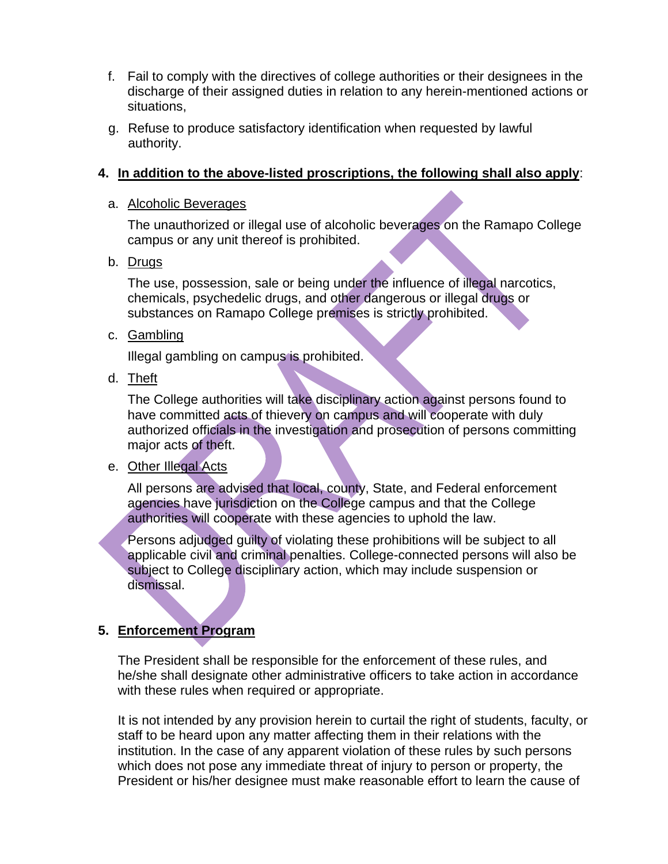- f. Fail to comply with the directives of college authorities or their designees in the discharge of their assigned duties in relation to any herein-mentioned actions or situations,
- g. Refuse to produce satisfactory identification when requested by lawful authority.

### **4. In addition to the above-listed proscriptions, the following shall also apply**:

#### a. Alcoholic Beverages

The unauthorized or illegal use of alcoholic beverages on the Ramapo College campus or any unit thereof is prohibited.

b. Drugs

The use, possession, sale or being under the influence of illegal narcotics, chemicals, psychedelic drugs, and other dangerous or illegal drugs or substances on Ramapo College premises is strictly prohibited.

c. Gambling

Illegal gambling on campus is prohibited.

d. Theft

The College authorities will take disciplinary action against persons found to have committed acts of thievery on campus and will cooperate with duly authorized officials in the investigation and prosecution of persons committing major acts of theft.

# e. Other Illegal Acts

All persons are advised that local, county, State, and Federal enforcement agencies have jurisdiction on the College campus and that the College authorities will cooperate with these agencies to uphold the law.

Persons adjudged guilty of violating these prohibitions will be subject to all applicable civil and criminal penalties. College-connected persons will also be subject to College disciplinary action, which may include suspension or dismissal.

# **5. Enforcement Program**

The President shall be responsible for the enforcement of these rules, and he/she shall designate other administrative officers to take action in accordance with these rules when required or appropriate.

It is not intended by any provision herein to curtail the right of students, faculty, or staff to be heard upon any matter affecting them in their relations with the institution. In the case of any apparent violation of these rules by such persons which does not pose any immediate threat of injury to person or property, the President or his/her designee must make reasonable effort to learn the cause of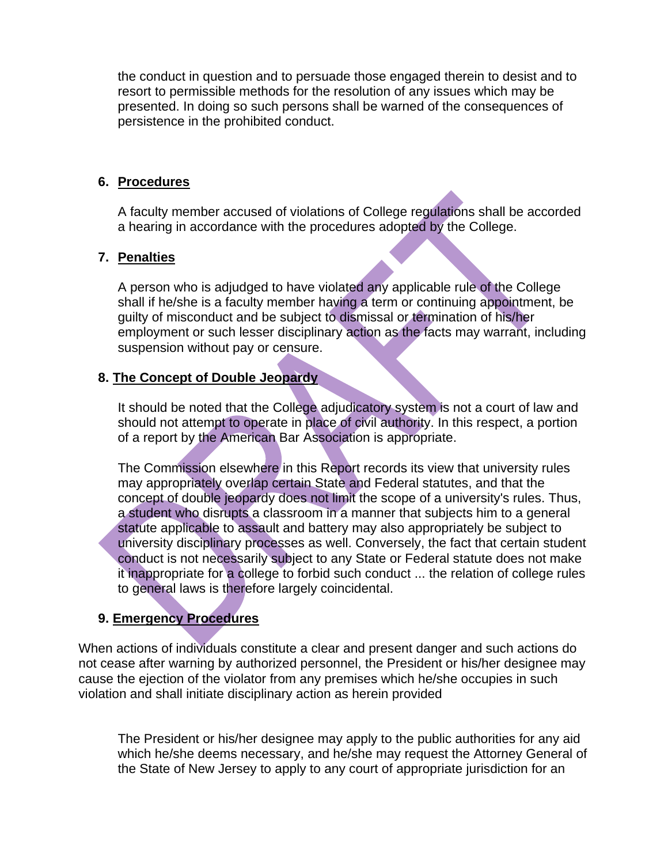the conduct in question and to persuade those engaged therein to desist and to resort to permissible methods for the resolution of any issues which may be presented. In doing so such persons shall be warned of the consequences of persistence in the prohibited conduct.

#### **6. Procedures**

A faculty member accused of violations of College regulations shall be accorded a hearing in accordance with the procedures adopted by the College.

### **7. Penalties**

A person who is adjudged to have violated any applicable rule of the College shall if he/she is a faculty member having a term or continuing appointment, be guilty of misconduct and be subject to dismissal or termination of his/her employment or such lesser disciplinary action as the facts may warrant, including suspension without pay or censure.

#### **8. The Concept of Double Jeopardy**

It should be noted that the College adjudicatory system is not a court of law and should not attempt to operate in place of civil authority. In this respect, a portion of a report by the American Bar Association is appropriate.

The Commission elsewhere in this Report records its view that university rules may appropriately overlap certain State and Federal statutes, and that the concept of double jeopardy does not limit the scope of a university's rules. Thus, a student who disrupts a classroom in a manner that subjects him to a general statute applicable to assault and battery may also appropriately be subject to university disciplinary processes as well. Conversely, the fact that certain student conduct is not necessarily subject to any State or Federal statute does not make it inappropriate for a college to forbid such conduct ... the relation of college rules to general laws is therefore largely coincidental.

# **9. Emergency Procedures**

When actions of individuals constitute a clear and present danger and such actions do not cease after warning by authorized personnel, the President or his/her designee may cause the ejection of the violator from any premises which he/she occupies in such violation and shall initiate disciplinary action as herein provided

The President or his/her designee may apply to the public authorities for any aid which he/she deems necessary, and he/she may request the Attorney General of the State of New Jersey to apply to any court of appropriate jurisdiction for an